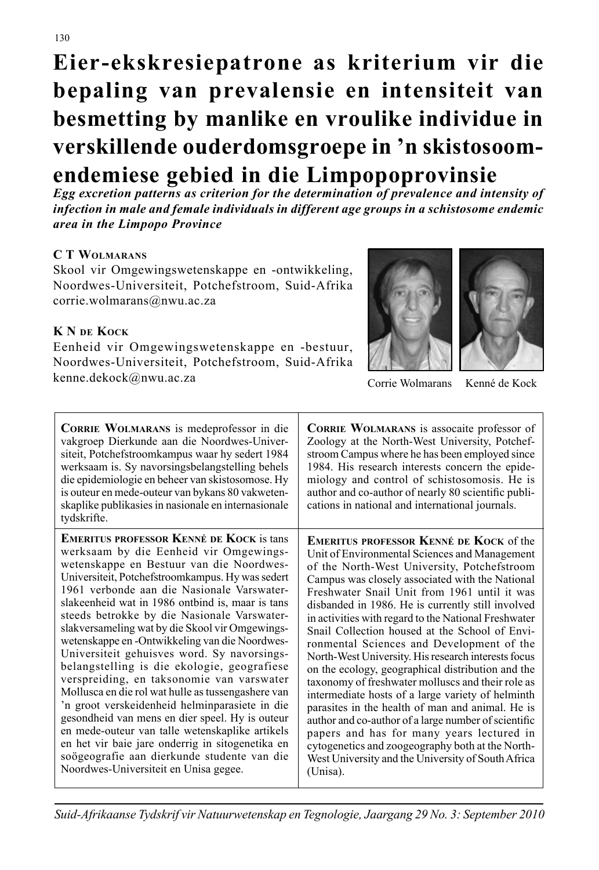**Eier-ekskresiepatrone as kriterium vir die bepaling van prevalensie en intensiteit van besmetting by manlike en vroulike individue in verskillende ouderdomsgroepe in 'n skistosoomendemiese gebied in die Limpopoprovinsie**

*Egg excretion patterns as criterion for the determination of prevalence and intensity of infection in male and female individuals in different age groups in a schistosome endemic area in the Limpopo Province*

# **C T WOLMARANS**

Skool vir Omgewingswetenskappe en -ontwikkeling, Noordwes-Universiteit, Potchefstroom, Suid-Afrika corrie.wolmarans@nwu.ac.za

# **K N DE KOCK**

Eenheid vir Omgewingswetenskappe en -bestuur, Noordwes-Universiteit, Potchefstroom, Suid-Afrika kenne.dekock@nwu.ac.za Corrie Wolmarans Kenné de Kock





| <b>CORRIE WOLMARANS</b> is medeprofessor in die<br>vakgroep Dierkunde aan die Noordwes-Univer-<br>siteit, Potchefstroomkampus waar hy sedert 1984<br>werksaam is. Sy navorsingsbelangstelling behels<br>die epidemiologie en beheer van skistosomose. Hy<br>is outeur en mede-outeur van bykans 80 vakweten-<br>skaplike publikasies in nasionale en internasionale<br>tydskrifte. | <b>CORRIE WOLMARANS</b> is assocalte professor of<br>Zoology at the North-West University, Potchef-<br>stroom Campus where he has been employed since<br>1984. His research interests concern the epide-<br>miology and control of schistosomosis. He is<br>author and co-author of nearly 80 scientific publi-<br>cations in national and international journals. |
|------------------------------------------------------------------------------------------------------------------------------------------------------------------------------------------------------------------------------------------------------------------------------------------------------------------------------------------------------------------------------------|--------------------------------------------------------------------------------------------------------------------------------------------------------------------------------------------------------------------------------------------------------------------------------------------------------------------------------------------------------------------|
| <b>EMERITUS PROFESSOR KENNÉ DE KOCK is tans</b>                                                                                                                                                                                                                                                                                                                                    | <b>EMERITUS PROFESSOR KENNÉ DE KOCK of the</b>                                                                                                                                                                                                                                                                                                                     |
| werksaam by die Eenheid vir Omgewings-                                                                                                                                                                                                                                                                                                                                             | Unit of Environmental Sciences and Management                                                                                                                                                                                                                                                                                                                      |
| wetenskappe en Bestuur van die Noordwes-                                                                                                                                                                                                                                                                                                                                           | of the North-West University, Potchefstroom                                                                                                                                                                                                                                                                                                                        |
| Universiteit, Potchefstroomkampus. Hy was sedert                                                                                                                                                                                                                                                                                                                                   | Campus was closely associated with the National                                                                                                                                                                                                                                                                                                                    |
| 1961 verbonde aan die Nasionale Varswater-                                                                                                                                                                                                                                                                                                                                         | Freshwater Snail Unit from 1961 until it was                                                                                                                                                                                                                                                                                                                       |
| slakeenheid wat in 1986 ontbind is, maar is tans                                                                                                                                                                                                                                                                                                                                   | disbanded in 1986. He is currently still involved                                                                                                                                                                                                                                                                                                                  |
| steeds betrokke by die Nasionale Varswater-                                                                                                                                                                                                                                                                                                                                        | in activities with regard to the National Freshwater                                                                                                                                                                                                                                                                                                               |
| slakversameling wat by die Skool vir Omgewings-                                                                                                                                                                                                                                                                                                                                    | Snail Collection housed at the School of Envi-                                                                                                                                                                                                                                                                                                                     |
| wetenskappe en -Ontwikkeling van die Noordwes-                                                                                                                                                                                                                                                                                                                                     | ronmental Sciences and Development of the                                                                                                                                                                                                                                                                                                                          |
| Universiteit gehuisves word. Sy navorsings-                                                                                                                                                                                                                                                                                                                                        | North-West University. His research interests focus                                                                                                                                                                                                                                                                                                                |
| belangstelling is die ekologie, geografiese                                                                                                                                                                                                                                                                                                                                        | on the ecology, geographical distribution and the                                                                                                                                                                                                                                                                                                                  |
| verspreiding, en taksonomie van varswater                                                                                                                                                                                                                                                                                                                                          | taxonomy of freshwater molluscs and their role as                                                                                                                                                                                                                                                                                                                  |
| Mollusca en die rol wat hulle as tussengashere van                                                                                                                                                                                                                                                                                                                                 | intermediate hosts of a large variety of helminth                                                                                                                                                                                                                                                                                                                  |
| 'n groot verskeidenheid helminparasiete in die                                                                                                                                                                                                                                                                                                                                     | parasites in the health of man and animal. He is                                                                                                                                                                                                                                                                                                                   |
| gesondheid van mens en dier speel. Hy is outeur                                                                                                                                                                                                                                                                                                                                    | author and co-author of a large number of scientific                                                                                                                                                                                                                                                                                                               |
| en mede-outeur van talle wetenskaplike artikels                                                                                                                                                                                                                                                                                                                                    | papers and has for many years lectured in                                                                                                                                                                                                                                                                                                                          |
| en het vir baie jare onderrig in sitogenetika en                                                                                                                                                                                                                                                                                                                                   | cytogenetics and zoogeography both at the North-                                                                                                                                                                                                                                                                                                                   |
| soögeografie aan dierkunde studente van die                                                                                                                                                                                                                                                                                                                                        | West University and the University of South Africa                                                                                                                                                                                                                                                                                                                 |
| Noordwes-Universiteit en Unisa gegee.                                                                                                                                                                                                                                                                                                                                              | (Unisa).                                                                                                                                                                                                                                                                                                                                                           |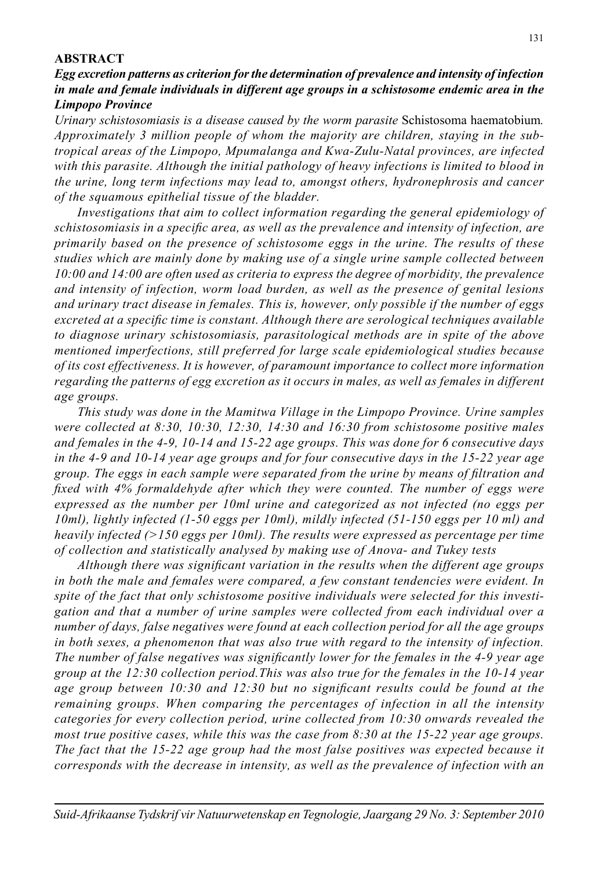#### **ABSTRACT**

*Egg excretion patterns as criterion for the determination of prevalence and intensity of infection in male and female individuals in different age groups in a schistosome endemic area in the Limpopo Province*

*Urinary schistosomiasis is a disease caused by the worm parasite* Schistosoma haematobium*. Approximately 3 million people of whom the majority are children, staying in the subtropical areas of the Limpopo, Mpumalanga and Kwa-Zulu-Natal provinces, are infected with this parasite. Although the initial pathology of heavy infections is limited to blood in the urine, long term infections may lead to, amongst others, hydronephrosis and cancer of the squamous epithelial tissue of the bladder.*

 *Investigations that aim to collect information regarding the general epidemiology of*  schistosomiasis in a specific area, as well as the prevalence and intensity of infection, are *primarily based on the presence of schistosome eggs in the urine. The results of these studies which are mainly done by making use of a single urine sample collected between 10:00 and 14:00 are often used as criteria to express the degree of morbidity, the prevalence and intensity of infection, worm load burden, as well as the presence of genital lesions and urinary tract disease in females. This is, however, only possible if the number of eggs*  excreted at a specific time is constant. Although there are serological techniques available *to diagnose urinary schistosomiasis, parasitological methods are in spite of the above mentioned imperfections, still preferred for large scale epidemiological studies because of its cost effectiveness. It is however, of paramount importance to collect more information regarding the patterns of egg excretion as it occurs in males, as well as females in different age groups.*

 *This study was done in the Mamitwa Village in the Limpopo Province. Urine samples were collected at 8:30, 10:30, 12:30, 14:30 and 16:30 from schistosome positive males and females in the 4-9, 10-14 and 15-22 age groups. This was done for 6 consecutive days in the 4-9 and 10-14 year age groups and for four consecutive days in the 15-22 year age group. The eggs in each sample were separated from the urine by means of filtration and fi xed with 4% formaldehyde after which they were counted. The number of eggs were expressed as the number per 10ml urine and categorized as not infected (no eggs per 10ml), lightly infected (1-50 eggs per 10ml), mildly infected (51-150 eggs per 10 ml) and heavily infected (>150 eggs per 10ml). The results were expressed as percentage per time of collection and statistically analysed by making use of Anova- and Tukey tests* 

Although there was significant variation in the results when the different age groups *in both the male and females were compared, a few constant tendencies were evident. In spite of the fact that only schistosome positive individuals were selected for this investigation and that a number of urine samples were collected from each individual over a number of days, false negatives were found at each collection period for all the age groups in both sexes, a phenomenon that was also true with regard to the intensity of infection. The number of false negatives was significantly lower for the females in the 4-9 year age group at the 12:30 collection period.This was also true for the females in the 10-14 year*  age group between 10:30 and 12:30 but no significant results could be found at the *remaining groups. When comparing the percentages of infection in all the intensity categories for every collection period, urine collected from 10:30 onwards revealed the most true positive cases, while this was the case from 8:30 at the 15-22 year age groups. The fact that the 15-22 age group had the most false positives was expected because it corresponds with the decrease in intensity, as well as the prevalence of infection with an*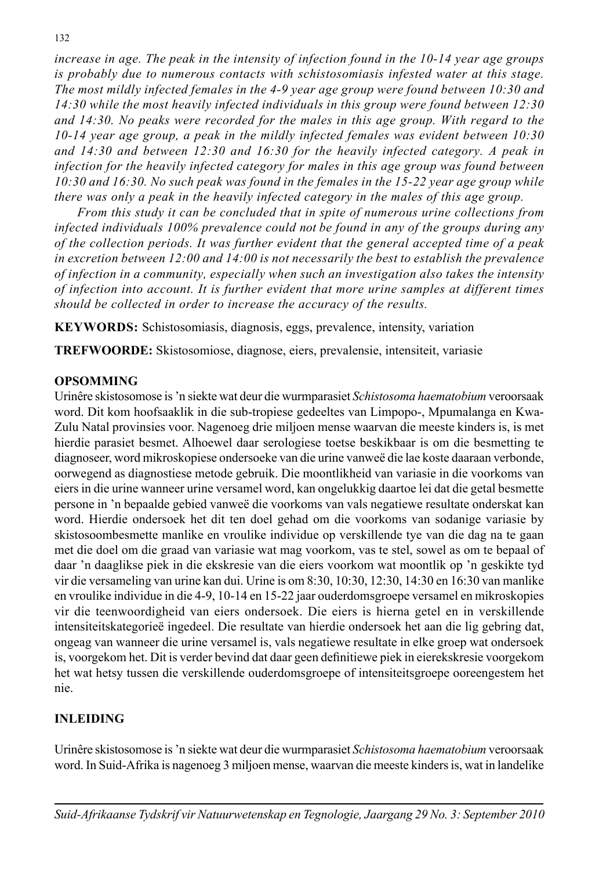*increase in age. The peak in the intensity of infection found in the 10-14 year age groups is probably due to numerous contacts with schistosomiasis infested water at this stage. The most mildly infected females in the 4-9 year age group were found between 10:30 and 14:30 while the most heavily infected individuals in this group were found between 12:30 and 14:30. No peaks were recorded for the males in this age group. With regard to the 10-14 year age group, a peak in the mildly infected females was evident between 10:30 and 14:30 and between 12:30 and 16:30 for the heavily infected category. A peak in infection for the heavily infected category for males in this age group was found between 10:30 and 16:30. No such peak was found in the females in the 15-22 year age group while there was only a peak in the heavily infected category in the males of this age group.*

 *From this study it can be concluded that in spite of numerous urine collections from infected individuals 100% prevalence could not be found in any of the groups during any of the collection periods. It was further evident that the general accepted time of a peak in excretion between 12:00 and 14:00 is not necessarily the best to establish the prevalence of infection in a community, especially when such an investigation also takes the intensity of infection into account. It is further evident that more urine samples at different times should be collected in order to increase the accuracy of the results.*

**KEYWORDS:** Schistosomiasis, diagnosis, eggs, prevalence, intensity, variation

**TREFWOORDE:** Skistosomiose, diagnose, eiers, prevalensie, intensiteit, variasie

### **OPSOMMING**

Urinêre skistosomose is 'n siekte wat deur die wurmparasiet *Schistosoma haematobium* veroorsaak word. Dit kom hoofsaaklik in die sub-tropiese gedeeltes van Limpopo-, Mpumalanga en Kwa-Zulu Natal provinsies voor. Nagenoeg drie miljoen mense waarvan die meeste kinders is, is met hierdie parasiet besmet. Alhoewel daar serologiese toetse beskikbaar is om die besmetting te diagnoseer, word mikroskopiese ondersoeke van die urine vanweë die lae koste daaraan verbonde, oorwegend as diagnostiese metode gebruik. Die moontlikheid van variasie in die voorkoms van eiers in die urine wanneer urine versamel word, kan ongelukkig daartoe lei dat die getal besmette persone in 'n bepaalde gebied vanweë die voorkoms van vals negatiewe resultate onderskat kan word. Hierdie ondersoek het dit ten doel gehad om die voorkoms van sodanige variasie by skistosoombesmette manlike en vroulike individue op verskillende tye van die dag na te gaan met die doel om die graad van variasie wat mag voorkom, vas te stel, sowel as om te bepaal of daar 'n daaglikse piek in die ekskresie van die eiers voorkom wat moontlik op 'n geskikte tyd vir die versameling van urine kan dui. Urine is om 8:30, 10:30, 12:30, 14:30 en 16:30 van manlike en vroulike individue in die 4-9, 10-14 en 15-22 jaar ouderdomsgroepe versamel en mikroskopies vir die teenwoordigheid van eiers ondersoek. Die eiers is hierna getel en in verskillende intensiteitskategorieë ingedeel. Die resultate van hierdie ondersoek het aan die lig gebring dat, ongeag van wanneer die urine versamel is, vals negatiewe resultate in elke groep wat ondersoek is, voorgekom het. Dit is verder bevind dat daar geen definitiewe piek in eierekskresie voorgekom het wat hetsy tussen die verskillende ouderdomsgroepe of intensiteitsgroepe ooreengestem het nie.

# **INLEIDING**

Urinêre skistosomose is 'n siekte wat deur die wurmparasiet *Schistosoma haematobium* veroorsaak word. In Suid-Afrika is nagenoeg 3 miljoen mense, waarvan die meeste kinders is, wat in landelike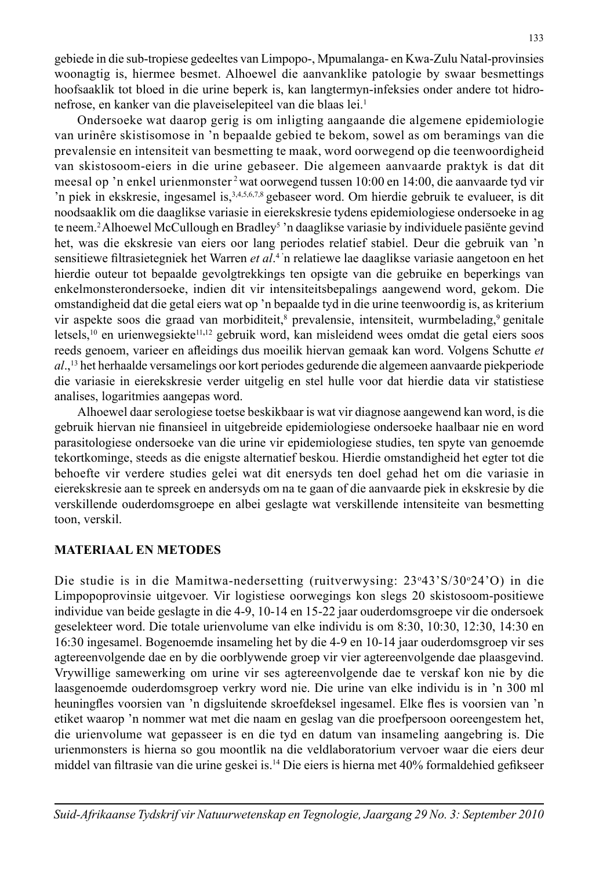gebiede in die sub-tropiese gedeeltes van Limpopo-, Mpumalanga- en Kwa-Zulu Natal-provinsies woonagtig is, hiermee besmet. Alhoewel die aanvanklike patologie by swaar besmettings hoofsaaklik tot bloed in die urine beperk is, kan langtermyn-infeksies onder andere tot hidronefrose, en kanker van die plaveiselepiteel van die blaas lei.<sup>1</sup>

 Ondersoeke wat daarop gerig is om inligting aangaande die algemene epidemiologie van urinêre skistisomose in 'n bepaalde gebied te bekom, sowel as om beramings van die prevalensie en intensiteit van besmetting te maak, word oorwegend op die teenwoordigheid van skistosoom-eiers in die urine gebaseer. Die algemeen aanvaarde praktyk is dat dit meesal op 'n enkel urienmonster 2 wat oorwegend tussen 10:00 en 14:00, die aanvaarde tyd vir 'n piek in ekskresie, ingesamel is,3,4,5,6,7,8 gebaseer word. Om hierdie gebruik te evalueer, is dit noodsaaklik om die daaglikse variasie in eierekskresie tydens epidemiologiese ondersoeke in ag te neem.<sup>2</sup> Alhoewel McCullough en Bradley<sup>5</sup> 'n daaglikse variasie by individuele pasiënte gevind het, was die ekskresie van eiers oor lang periodes relatief stabiel. Deur die gebruik van 'n sensitiewe fi ltrasietegniek het Warren *et al*. 4 'n relatiewe lae daaglikse variasie aangetoon en het hierdie outeur tot bepaalde gevolgtrekkings ten opsigte van die gebruike en beperkings van enkelmonsterondersoeke, indien dit vir intensiteitsbepalings aangewend word, gekom. Die omstandigheid dat die getal eiers wat op 'n bepaalde tyd in die urine teenwoordig is, as kriterium vir aspekte soos die graad van morbiditeit,<sup>8</sup> prevalensie, intensiteit, wurmbelading,<sup>9</sup> genitale letsels,10 en urienwegsiekte11**,**<sup>12</sup> gebruik word, kan misleidend wees omdat die getal eiers soos reeds genoem, varieer en afleidings dus moeilik hiervan gemaak kan word. Volgens Schutte et *al*.,13 het herhaalde versamelings oor kort periodes gedurende die algemeen aanvaarde piekperiode die variasie in eierekskresie verder uitgelig en stel hulle voor dat hierdie data vir statistiese analises, logaritmies aangepas word.

 Alhoewel daar serologiese toetse beskikbaar is wat vir diagnose aangewend kan word, is die gebruik hiervan nie finansieel in uitgebreide epidemiologiese ondersoeke haalbaar nie en word parasitologiese ondersoeke van die urine vir epidemiologiese studies, ten spyte van genoemde tekortkominge, steeds as die enigste alternatief beskou. Hierdie omstandigheid het egter tot die behoefte vir verdere studies gelei wat dit enersyds ten doel gehad het om die variasie in eierekskresie aan te spreek en andersyds om na te gaan of die aanvaarde piek in ekskresie by die verskillende ouderdomsgroepe en albei geslagte wat verskillende intensiteite van besmetting toon, verskil.

#### **MATERIAAL EN METODES**

Die studie is in die Mamitwa-nedersetting (ruitverwysing: 23°43'S/30°24'O) in die Limpopoprovinsie uitgevoer. Vir logistiese oorwegings kon slegs 20 skistosoom-positiewe individue van beide geslagte in die 4-9, 10-14 en 15-22 jaar ouderdomsgroepe vir die ondersoek geselekteer word. Die totale urienvolume van elke individu is om 8:30, 10:30, 12:30, 14:30 en 16:30 ingesamel. Bogenoemde insameling het by die 4-9 en 10-14 jaar ouderdomsgroep vir ses agtereenvolgende dae en by die oorblywende groep vir vier agtereenvolgende dae plaasgevind. Vrywillige samewerking om urine vir ses agtereenvolgende dae te verskaf kon nie by die laasgenoemde ouderdomsgroep verkry word nie. Die urine van elke individu is in 'n 300 ml heuningfles voorsien van 'n digsluitende skroefdeksel ingesamel. Elke fles is voorsien van 'n etiket waarop 'n nommer wat met die naam en geslag van die proefpersoon ooreengestem het, die urienvolume wat gepasseer is en die tyd en datum van insameling aangebring is. Die urienmonsters is hierna so gou moontlik na die veldlaboratorium vervoer waar die eiers deur middel van filtrasie van die urine geskei is.<sup>14</sup> Die eiers is hierna met 40% formaldehied gefikseer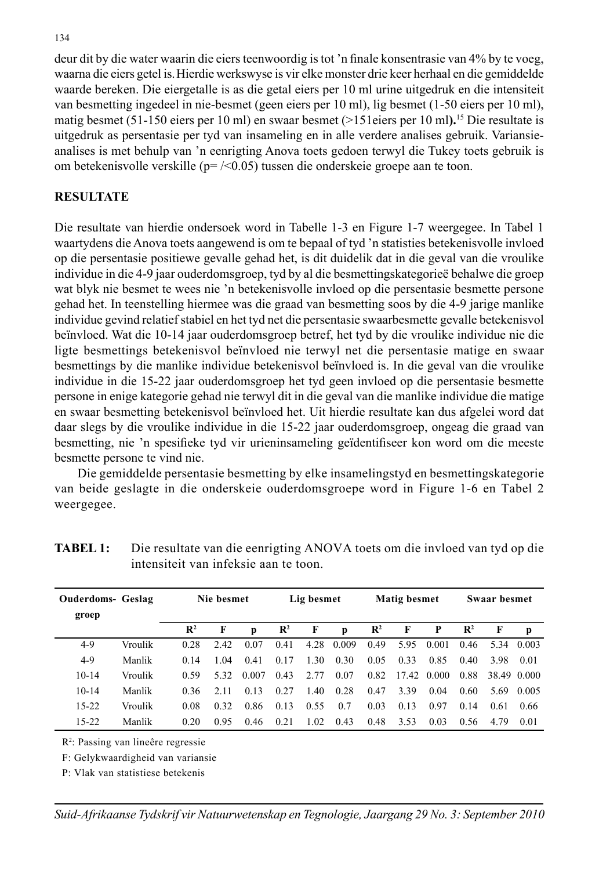deur dit by die water waarin die eiers teenwoordig is tot 'n finale konsentrasie van 4% by te voeg, waarna die eiers getel is.Hierdie werkswyse is vir elke monster drie keer herhaal en die gemiddelde waarde bereken. Die eiergetalle is as die getal eiers per 10 ml urine uitgedruk en die intensiteit van besmetting ingedeel in nie-besmet (geen eiers per 10 ml), lig besmet (1-50 eiers per 10 ml), matig besmet (51-150 eiers per 10 ml) en swaar besmet (>151eiers per 10 ml**).**15 Die resultate is uitgedruk as persentasie per tyd van insameling en in alle verdere analises gebruik. Variansieanalises is met behulp van 'n eenrigting Anova toets gedoen terwyl die Tukey toets gebruik is om betekenisvolle verskille (p= /<0.05) tussen die onderskeie groepe aan te toon.

### **RESULTATE**

Die resultate van hierdie ondersoek word in Tabelle 1-3 en Figure 1-7 weergegee. In Tabel 1 waartydens die Anova toets aangewend is om te bepaal of tyd 'n statisties betekenisvolle invloed op die persentasie positiewe gevalle gehad het, is dit duidelik dat in die geval van die vroulike individue in die 4-9 jaar ouderdomsgroep, tyd by al die besmettingskategorieë behalwe die groep wat blyk nie besmet te wees nie 'n betekenisvolle invloed op die persentasie besmette persone gehad het. In teenstelling hiermee was die graad van besmetting soos by die 4-9 jarige manlike individue gevind relatief stabiel en het tyd net die persentasie swaarbesmette gevalle betekenisvol beïnvloed. Wat die 10-14 jaar ouderdomsgroep betref, het tyd by die vroulike individue nie die ligte besmettings betekenisvol beïnvloed nie terwyl net die persentasie matige en swaar besmettings by die manlike individue betekenisvol beïnvloed is. In die geval van die vroulike individue in die 15-22 jaar ouderdomsgroep het tyd geen invloed op die persentasie besmette persone in enige kategorie gehad nie terwyl dit in die geval van die manlike individue die matige en swaar besmetting betekenisvol beïnvloed het. Uit hierdie resultate kan dus afgelei word dat daar slegs by die vroulike individue in die 15-22 jaar ouderdomsgroep, ongeag die graad van besmetting, nie 'n spesifieke tyd vir urieninsameling geïdentifiseer kon word om die meeste besmette persone te vind nie.

 Die gemiddelde persentasie besmetting by elke insamelingstyd en besmettingskategorie van beide geslagte in die onderskeie ouderdomsgroepe word in Figure 1-6 en Tabel 2 weergegee.

| <b>Ouderdoms- Geslag</b><br>groep |         |                | Nie besmet |       |                | Lig besmet |       |                | Matig besmet |             |                | Swaar besmet |             |
|-----------------------------------|---------|----------------|------------|-------|----------------|------------|-------|----------------|--------------|-------------|----------------|--------------|-------------|
|                                   |         | $\mathbf{R}^2$ | F          | p     | $\mathbf{R}^2$ | F          | p     | $\mathbb{R}^2$ | - F          | P           | $\mathbf{R}^2$ | F            | p           |
| $4-9$                             | Vroulik | 0.28           | 2.42       | 0.07  | 0.41           | 4.28       | 0.009 | 0.49           | 5.95         | 0.001       | 0.46           | 5.34         | -0.003      |
| $4-9$                             | Manlik  | 0.14           | 1 04       | 0.41  | 0.17           | 1.30       | 0.30  | 0.05           | 0.33         | 0.85        | 0.40           | 3.98         | 0.01        |
| $10 - 14$                         | Vroulik | 0.59           | 532        | 0.007 | 0.43           | 2.77       | 0.07  | 0.82           |              | 17.42 0.000 | 0.88           |              | 38.49 0.000 |
| $10 - 14$                         | Manlik  | 0.36           | 2.11       | 0.13  | 0.27           | 1.40       | 0.28  | 0.47           | 3.39         | 0.04        | 0.60           | 5.69         | -0.005      |
| $15 - 22$                         | Vroulik | 0.08           | 0.32       | 0.86  | 0.13           | 0.55       | 0.7   | 0.03           | 0.13         | 0.97        | 0.14           | 0.61         | 0.66        |
| $15 - 22$                         | Manlik  | 0.20           | 0.95       | 0.46  | 0.21           | 1.02       | 0.43  | 0.48           | 3.53         | 0.03        | 0.56           | 4.79         | 0.01        |

**TABEL 1:** Die resultate van die eenrigting ANOVA toets om die invloed van tyd op die intensiteit van infeksie aan te toon.

R2 : Passing van lineêre regressie

F: Gelykwaardigheid van variansie

P: Vlak van statistiese betekenis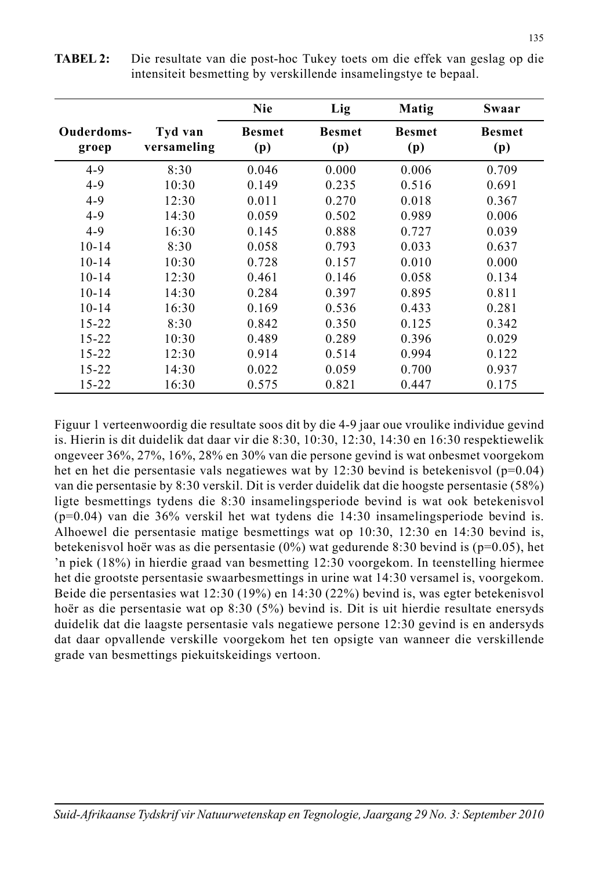|                     |                        | <b>Nie</b>           | Lig                  | Matig                | Swaar                |
|---------------------|------------------------|----------------------|----------------------|----------------------|----------------------|
| Ouderdoms-<br>groep | Tyd van<br>versameling | <b>Besmet</b><br>(p) | <b>Besmet</b><br>(p) | <b>Besmet</b><br>(p) | <b>Besmet</b><br>(p) |
| $4-9$               | 8:30                   | 0.046                | 0.000                | 0.006                | 0.709                |
| $4 - 9$             | 10:30                  | 0.149                | 0.235                | 0.516                | 0.691                |
| $4-9$               | 12:30                  | 0.011                | 0.270                | 0.018                | 0.367                |
| $4-9$               | 14:30                  | 0.059                | 0.502                | 0.989                | 0.006                |
| $4-9$               | 16:30                  | 0.145                | 0.888                | 0.727                | 0.039                |
| $10 - 14$           | 8:30                   | 0.058                | 0.793                | 0.033                | 0.637                |
| $10 - 14$           | 10:30                  | 0.728                | 0.157                | 0.010                | 0.000                |
| $10 - 14$           | 12:30                  | 0.461                | 0.146                | 0.058                | 0.134                |
| $10 - 14$           | 14:30                  | 0.284                | 0.397                | 0.895                | 0.811                |
| $10 - 14$           | 16:30                  | 0.169                | 0.536                | 0.433                | 0.281                |
| $15 - 22$           | 8:30                   | 0.842                | 0.350                | 0.125                | 0.342                |
| $15 - 22$           | 10:30                  | 0.489                | 0.289                | 0.396                | 0.029                |
| $15 - 22$           | 12:30                  | 0.914                | 0.514                | 0.994                | 0.122                |
| $15 - 22$           | 14:30                  | 0.022                | 0.059                | 0.700                | 0.937                |
| $15 - 22$           | 16:30                  | 0.575                | 0.821                | 0.447                | 0.175                |

**TABEL 2:** Die resultate van die post-hoc Tukey toets om die effek van geslag op die intensiteit besmetting by verskillende insamelingstye te bepaal.

Figuur 1 verteenwoordig die resultate soos dit by die 4-9 jaar oue vroulike individue gevind is. Hierin is dit duidelik dat daar vir die 8:30, 10:30, 12:30, 14:30 en 16:30 respektiewelik ongeveer 36%, 27%, 16%, 28% en 30% van die persone gevind is wat onbesmet voorgekom het en het die persentasie vals negatiewes wat by 12:30 bevind is betekenisvol (p=0.04) van die persentasie by 8:30 verskil. Dit is verder duidelik dat die hoogste persentasie (58%) ligte besmettings tydens die 8:30 insamelingsperiode bevind is wat ook betekenisvol (p=0.04) van die 36% verskil het wat tydens die 14:30 insamelingsperiode bevind is. Alhoewel die persentasie matige besmettings wat op 10:30, 12:30 en 14:30 bevind is, betekenisvol hoër was as die persentasie (0%) wat gedurende 8:30 bevind is (p=0.05), het 'n piek (18%) in hierdie graad van besmetting 12:30 voorgekom. In teenstelling hiermee het die grootste persentasie swaarbesmettings in urine wat 14:30 versamel is, voorgekom. Beide die persentasies wat 12:30 (19%) en 14:30 (22%) bevind is, was egter betekenisvol hoër as die persentasie wat op 8:30 (5%) bevind is. Dit is uit hierdie resultate enersyds duidelik dat die laagste persentasie vals negatiewe persone 12:30 gevind is en andersyds dat daar opvallende verskille voorgekom het ten opsigte van wanneer die verskillende grade van besmettings piekuitskeidings vertoon.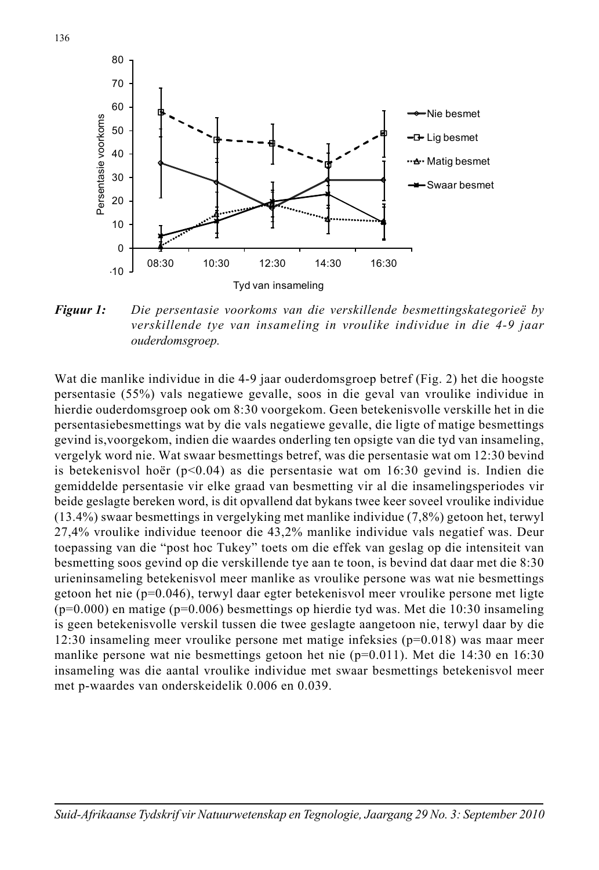

*Figuur 1: Die persentasie voorkoms van die verskillende besmettingskategorieë by verskillende tye van insameling in vroulike individue in die 4-9 jaar ouderdomsgroep.* 

Wat die manlike individue in die 4-9 jaar ouderdomsgroep betref (Fig. 2) het die hoogste persentasie (55%) vals negatiewe gevalle, soos in die geval van vroulike individue in hierdie ouderdomsgroep ook om 8:30 voorgekom. Geen betekenisvolle verskille het in die persentasiebesmettings wat by die vals negatiewe gevalle, die ligte of matige besmettings gevind is,voorgekom, indien die waardes onderling ten opsigte van die tyd van insameling, vergelyk word nie. Wat swaar besmettings betref, was die persentasie wat om 12:30 bevind is betekenisvol hoër (p<0.04) as die persentasie wat om 16:30 gevind is. Indien die gemiddelde persentasie vir elke graad van besmetting vir al die insamelingsperiodes vir beide geslagte bereken word, is dit opvallend dat bykans twee keer soveel vroulike individue (13.4%) swaar besmettings in vergelyking met manlike individue (7,8%) getoon het, terwyl 27,4% vroulike individue teenoor die 43,2% manlike individue vals negatief was. Deur toepassing van die "post hoc Tukey" toets om die effek van geslag op die intensiteit van besmetting soos gevind op die verskillende tye aan te toon, is bevind dat daar met die 8:30 urieninsameling betekenisvol meer manlike as vroulike persone was wat nie besmettings getoon het nie (p=0.046), terwyl daar egter betekenisvol meer vroulike persone met ligte  $(p=0.000)$  en matige  $(p=0.006)$  besmettings op hierdie tyd was. Met die 10:30 insameling is geen betekenisvolle verskil tussen die twee geslagte aangetoon nie, terwyl daar by die 12:30 insameling meer vroulike persone met matige infeksies  $(p=0.018)$  was maar meer manlike persone wat nie besmettings getoon het nie  $(p=0.011)$ . Met die 14:30 en 16:30 insameling was die aantal vroulike individue met swaar besmettings betekenisvol meer met p-waardes van onderskeidelik 0.006 en 0.039.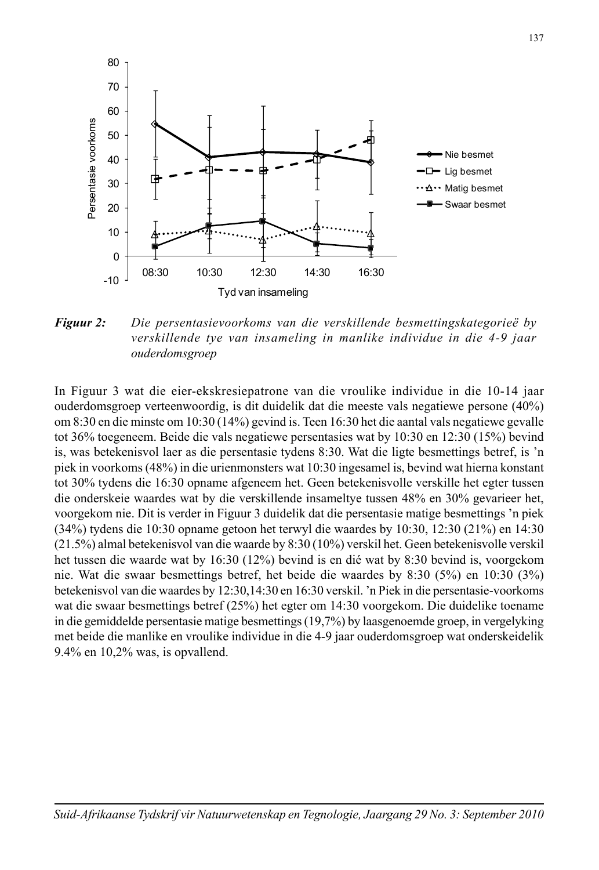

*Figuur 2: Die persentasievoorkoms van die verskillende besmettingskategorieë by verskillende tye van insameling in manlike individue in die 4-9 jaar ouderdomsgroep*

In Figuur 3 wat die eier-ekskresiepatrone van die vroulike individue in die 10-14 jaar ouderdomsgroep verteenwoordig, is dit duidelik dat die meeste vals negatiewe persone (40%) om 8:30 en die minste om 10:30 (14%) gevind is. Teen 16:30 het die aantal vals negatiewe gevalle tot 36% toegeneem. Beide die vals negatiewe persentasies wat by 10:30 en 12:30 (15%) bevind is, was betekenisvol laer as die persentasie tydens 8:30. Wat die ligte besmettings betref, is 'n piek in voorkoms (48%) in die urienmonsters wat 10:30 ingesamel is, bevind wat hierna konstant tot 30% tydens die 16:30 opname afgeneem het. Geen betekenisvolle verskille het egter tussen die onderskeie waardes wat by die verskillende insameltye tussen 48% en 30% gevarieer het, voorgekom nie. Dit is verder in Figuur 3 duidelik dat die persentasie matige besmettings 'n piek (34%) tydens die 10:30 opname getoon het terwyl die waardes by 10:30, 12:30 (21%) en 14:30 (21.5%) almal betekenisvol van die waarde by 8:30 (10%) verskil het. Geen betekenisvolle verskil het tussen die waarde wat by 16:30 (12%) bevind is en dié wat by 8:30 bevind is, voorgekom nie. Wat die swaar besmettings betref, het beide die waardes by 8:30 (5%) en 10:30 (3%) betekenisvol van die waardes by 12:30,14:30 en 16:30 verskil. 'n Piek in die persentasie-voorkoms wat die swaar besmettings betref (25%) het egter om 14:30 voorgekom. Die duidelike toename in die gemiddelde persentasie matige besmettings (19,7%) by laasgenoemde groep, in vergelyking met beide die manlike en vroulike individue in die 4-9 jaar ouderdomsgroep wat onderskeidelik 9.4% en 10,2% was, is opvallend.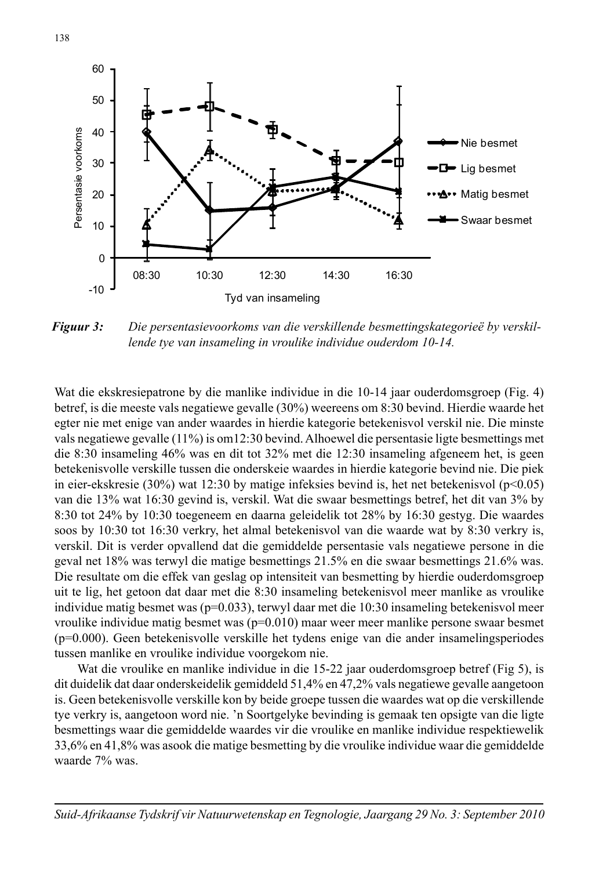

*Figuur 3: Die persentasievoorkoms van die verskillende besmettingskategorieë by verskillende tye van insameling in vroulike individue ouderdom 10-14.*

Wat die ekskresiepatrone by die manlike individue in die 10-14 jaar ouderdomsgroep (Fig. 4) betref, is die meeste vals negatiewe gevalle (30%) weereens om 8:30 bevind. Hierdie waarde het egter nie met enige van ander waardes in hierdie kategorie betekenisvol verskil nie. Die minste vals negatiewe gevalle (11%) is om12:30 bevind. Alhoewel die persentasie ligte besmettings met die 8:30 insameling 46% was en dit tot 32% met die 12:30 insameling afgeneem het, is geen betekenisvolle verskille tussen die onderskeie waardes in hierdie kategorie bevind nie. Die piek in eier-ekskresie (30%) wat 12:30 by matige infeksies bevind is, het net betekenisvol ( $p<0.05$ ) van die 13% wat 16:30 gevind is, verskil. Wat die swaar besmettings betref, het dit van 3% by 8:30 tot 24% by 10:30 toegeneem en daarna geleidelik tot 28% by 16:30 gestyg. Die waardes soos by 10:30 tot 16:30 verkry, het almal betekenisvol van die waarde wat by 8:30 verkry is, verskil. Dit is verder opvallend dat die gemiddelde persentasie vals negatiewe persone in die geval net 18% was terwyl die matige besmettings 21.5% en die swaar besmettings 21.6% was. Die resultate om die effek van geslag op intensiteit van besmetting by hierdie ouderdomsgroep uit te lig, het getoon dat daar met die 8:30 insameling betekenisvol meer manlike as vroulike individue matig besmet was  $(p=0.033)$ , terwyl daar met die 10:30 insameling betekenisvol meer vroulike individue matig besmet was  $(p=0.010)$  maar weer meer manlike persone swaar besmet (p=0.000). Geen betekenisvolle verskille het tydens enige van die ander insamelingsperiodes tussen manlike en vroulike individue voorgekom nie.

 Wat die vroulike en manlike individue in die 15-22 jaar ouderdomsgroep betref (Fig 5), is dit duidelik dat daar onderskeidelik gemiddeld 51,4% en 47,2% vals negatiewe gevalle aangetoon is. Geen betekenisvolle verskille kon by beide groepe tussen die waardes wat op die verskillende tye verkry is, aangetoon word nie. 'n Soortgelyke bevinding is gemaak ten opsigte van die ligte besmettings waar die gemiddelde waardes vir die vroulike en manlike individue respektiewelik 33,6% en 41,8% was asook die matige besmetting by die vroulike individue waar die gemiddelde waarde 7% was.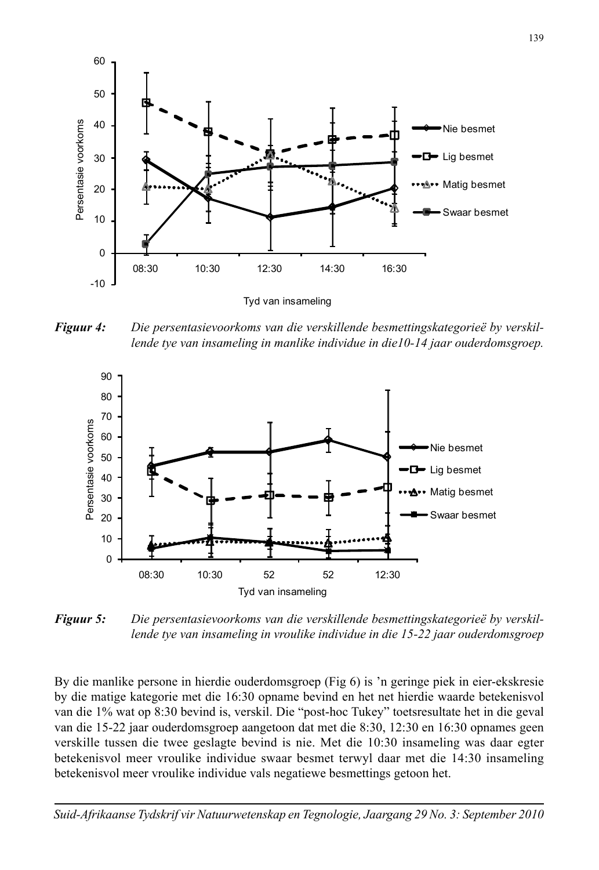

*Figuur 4: Die persentasievoorkoms van die verskillende besmettingskategorieë by verskillende tye van insameling in manlike individue in die10-14 jaar ouderdomsgroep.*



*Figuur 5: Die persentasievoorkoms van die verskillende besmettingskategorieë by verskillende tye van insameling in vroulike individue in die 15-22 jaar ouderdomsgroep*

By die manlike persone in hierdie ouderdomsgroep (Fig 6) is 'n geringe piek in eier-ekskresie by die matige kategorie met die 16:30 opname bevind en het net hierdie waarde betekenisvol van die 1% wat op 8:30 bevind is, verskil. Die "post-hoc Tukey" toetsresultate het in die geval van die 15-22 jaar ouderdomsgroep aangetoon dat met die 8:30, 12:30 en 16:30 opnames geen verskille tussen die twee geslagte bevind is nie. Met die 10:30 insameling was daar egter betekenisvol meer vroulike individue swaar besmet terwyl daar met die 14:30 insameling betekenisvol meer vroulike individue vals negatiewe besmettings getoon het.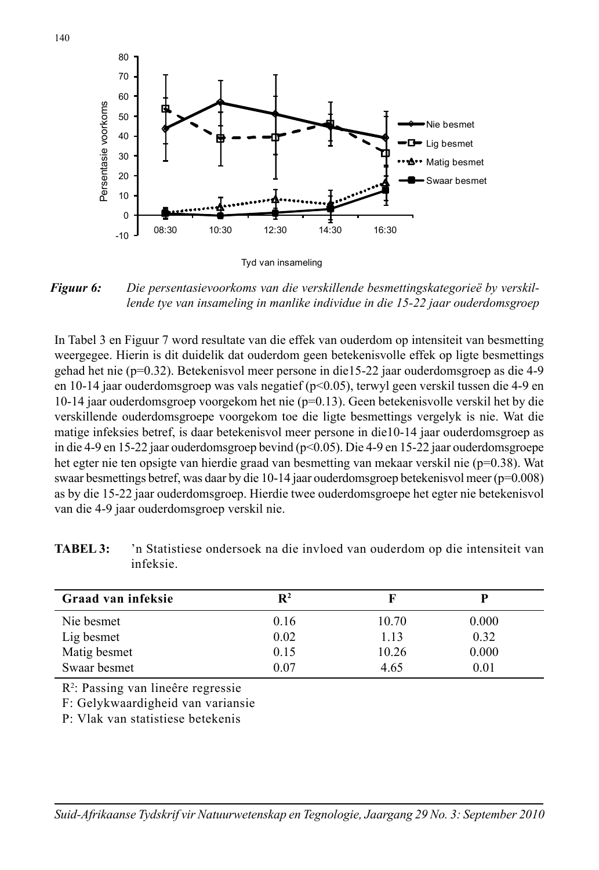

*Figuur 6: Die persentasievoorkoms van die verskillende besmettingskategorieë by verskillende tye van insameling in manlike individue in die 15-22 jaar ouderdomsgroep*

In Tabel 3 en Figuur 7 word resultate van die effek van ouderdom op intensiteit van besmetting weergegee. Hierin is dit duidelik dat ouderdom geen betekenisvolle effek op ligte besmettings gehad het nie (p=0.32). Betekenisvol meer persone in die15-22 jaar ouderdomsgroep as die 4-9 en 10-14 jaar ouderdomsgroep was vals negatief (p<0.05), terwyl geen verskil tussen die 4-9 en 10-14 jaar ouderdomsgroep voorgekom het nie (p=0.13). Geen betekenisvolle verskil het by die verskillende ouderdomsgroepe voorgekom toe die ligte besmettings vergelyk is nie. Wat die matige infeksies betref, is daar betekenisvol meer persone in die10-14 jaar ouderdomsgroep as in die 4-9 en 15-22 jaar ouderdomsgroep bevind (p<0.05). Die 4-9 en 15-22 jaar ouderdomsgroepe het egter nie ten opsigte van hierdie graad van besmetting van mekaar verskil nie (p=0.38). Wat swaar besmettings betref, was daar by die 10-14 jaar ouderdomsgroep betekenisvol meer (p=0.008) as by die 15-22 jaar ouderdomsgroep. Hierdie twee ouderdomsgroepe het egter nie betekenisvol van die 4-9 jaar ouderdomsgroep verskil nie.

| Graad van infeksie | $\mathbf{R}^2$ |       |       |
|--------------------|----------------|-------|-------|
| Nie besmet         | 0.16           | 10.70 | 0.000 |
| Lig besmet         | 0.02           | 1.13  | 0.32  |
| Matig besmet       | 0.15           | 10.26 | 0.000 |
| Swaar besmet       | 0.07           | 4.65  | 0.01  |

**TABEL 3:** 'n Statistiese ondersoek na die invloed van ouderdom op die intensiteit van infeksie.

R2 : Passing van lineêre regressie

F: Gelykwaardigheid van variansie

P: Vlak van statistiese betekenis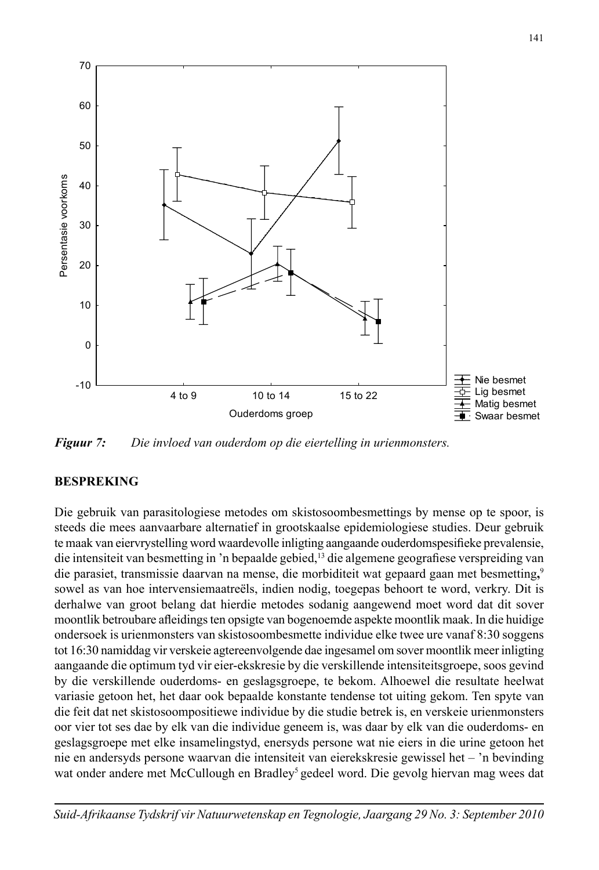

*Figuur 7: Die invloed van ouderdom op die eiertelling in urienmonsters.* 

### **BESPREKING**

Die gebruik van parasitologiese metodes om skistosoombesmettings by mense op te spoor, is steeds die mees aanvaarbare alternatief in grootskaalse epidemiologiese studies. Deur gebruik te maak van eiervrystelling word waardevolle inligting aangaande ouderdomspesifieke prevalensie, die intensiteit van besmetting in 'n bepaalde gebied,<sup>13</sup> die algemene geografiese verspreiding van die parasiet, transmissie daarvan na mense, die morbiditeit wat gepaard gaan met besmetting**,** 9 sowel as van hoe intervensiemaatreëls, indien nodig, toegepas behoort te word, verkry. Dit is derhalwe van groot belang dat hierdie metodes sodanig aangewend moet word dat dit sover moontlik betroubare afleidings ten opsigte van bogenoemde aspekte moontlik maak. In die huidige ondersoek is urienmonsters van skistosoombesmette individue elke twee ure vanaf 8:30 soggens tot 16:30 namiddag vir verskeie agtereenvolgende dae ingesamel om sover moontlik meer inligting aangaande die optimum tyd vir eier-ekskresie by die verskillende intensiteitsgroepe, soos gevind by die verskillende ouderdoms- en geslagsgroepe, te bekom. Alhoewel die resultate heelwat variasie getoon het, het daar ook bepaalde konstante tendense tot uiting gekom. Ten spyte van die feit dat net skistosoompositiewe individue by die studie betrek is, en verskeie urienmonsters oor vier tot ses dae by elk van die individue geneem is, was daar by elk van die ouderdoms- en geslagsgroepe met elke insamelingstyd, enersyds persone wat nie eiers in die urine getoon het nie en andersyds persone waarvan die intensiteit van eierekskresie gewissel het – 'n bevinding wat onder andere met McCullough en Bradley<sup>5</sup> gedeel word. Die gevolg hiervan mag wees dat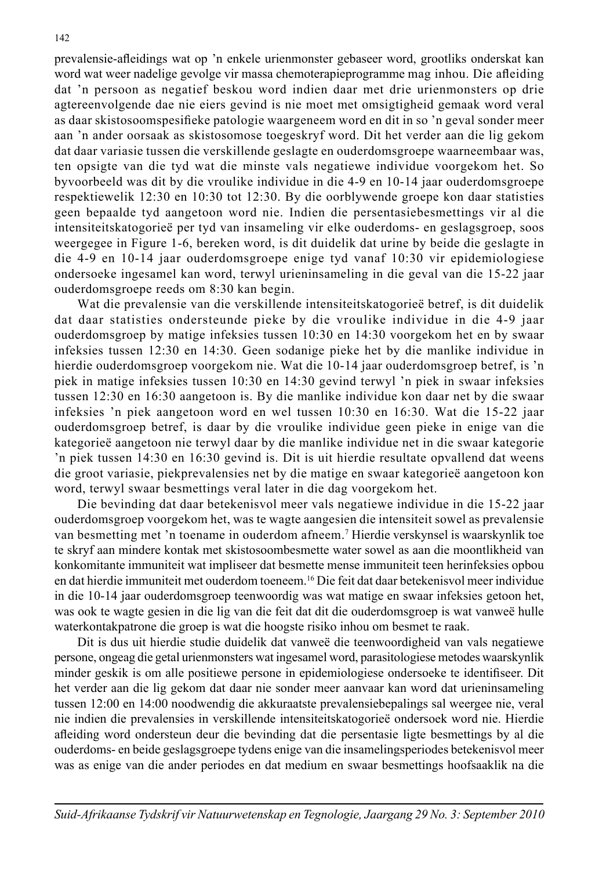prevalensie-afl eidings wat op 'n enkele urienmonster gebaseer word, grootliks onderskat kan word wat weer nadelige gevolge vir massa chemoterapieprogramme mag inhou. Die afleiding dat 'n persoon as negatief beskou word indien daar met drie urienmonsters op drie agtereenvolgende dae nie eiers gevind is nie moet met omsigtigheid gemaak word veral as daar skistosoomspesifieke patologie waargeneem word en dit in so 'n geval sonder meer aan 'n ander oorsaak as skistosomose toegeskryf word. Dit het verder aan die lig gekom dat daar variasie tussen die verskillende geslagte en ouderdomsgroepe waarneembaar was, ten opsigte van die tyd wat die minste vals negatiewe individue voorgekom het. So byvoorbeeld was dit by die vroulike individue in die 4-9 en 10-14 jaar ouderdomsgroepe respektiewelik 12:30 en 10:30 tot 12:30. By die oorblywende groepe kon daar statisties geen bepaalde tyd aangetoon word nie. Indien die persentasiebesmettings vir al die intensiteitskatogorieë per tyd van insameling vir elke ouderdoms- en geslagsgroep, soos weergegee in Figure 1-6, bereken word, is dit duidelik dat urine by beide die geslagte in die 4-9 en 10-14 jaar ouderdomsgroepe enige tyd vanaf 10:30 vir epidemiologiese ondersoeke ingesamel kan word, terwyl urieninsameling in die geval van die 15-22 jaar ouderdomsgroepe reeds om 8:30 kan begin.

 Wat die prevalensie van die verskillende intensiteitskatogorieë betref, is dit duidelik dat daar statisties ondersteunde pieke by die vroulike individue in die 4-9 jaar ouderdomsgroep by matige infeksies tussen 10:30 en 14:30 voorgekom het en by swaar infeksies tussen 12:30 en 14:30. Geen sodanige pieke het by die manlike individue in hierdie ouderdomsgroep voorgekom nie. Wat die 10-14 jaar ouderdomsgroep betref, is 'n piek in matige infeksies tussen 10:30 en 14:30 gevind terwyl 'n piek in swaar infeksies tussen 12:30 en 16:30 aangetoon is. By die manlike individue kon daar net by die swaar infeksies 'n piek aangetoon word en wel tussen 10:30 en 16:30. Wat die 15-22 jaar ouderdomsgroep betref, is daar by die vroulike individue geen pieke in enige van die kategorieë aangetoon nie terwyl daar by die manlike individue net in die swaar kategorie 'n piek tussen 14:30 en 16:30 gevind is. Dit is uit hierdie resultate opvallend dat weens die groot variasie, piekprevalensies net by die matige en swaar kategorieë aangetoon kon word, terwyl swaar besmettings veral later in die dag voorgekom het.

 Die bevinding dat daar betekenisvol meer vals negatiewe individue in die 15-22 jaar ouderdomsgroep voorgekom het, was te wagte aangesien die intensiteit sowel as prevalensie van besmetting met 'n toename in ouderdom afneem.7 Hierdie verskynsel is waarskynlik toe te skryf aan mindere kontak met skistosoombesmette water sowel as aan die moontlikheid van konkomitante immuniteit wat impliseer dat besmette mense immuniteit teen herinfeksies opbou en dat hierdie immuniteit met ouderdom toeneem.16 Die feit dat daar betekenisvol meer individue in die 10-14 jaar ouderdomsgroep teenwoordig was wat matige en swaar infeksies getoon het, was ook te wagte gesien in die lig van die feit dat dit die ouderdomsgroep is wat vanweë hulle waterkontakpatrone die groep is wat die hoogste risiko inhou om besmet te raak.

 Dit is dus uit hierdie studie duidelik dat vanweë die teenwoordigheid van vals negatiewe persone, ongeag die getal urienmonsters wat ingesamel word, parasitologiese metodes waarskynlik minder geskik is om alle positiewe persone in epidemiologiese ondersoeke te identifiseer. Dit het verder aan die lig gekom dat daar nie sonder meer aanvaar kan word dat urieninsameling tussen 12:00 en 14:00 noodwendig die akkuraatste prevalensiebepalings sal weergee nie, veral nie indien die prevalensies in verskillende intensiteitskatogorieë ondersoek word nie. Hierdie afl eiding word ondersteun deur die bevinding dat die persentasie ligte besmettings by al die ouderdoms- en beide geslagsgroepe tydens enige van die insamelingsperiodes betekenisvol meer was as enige van die ander periodes en dat medium en swaar besmettings hoofsaaklik na die